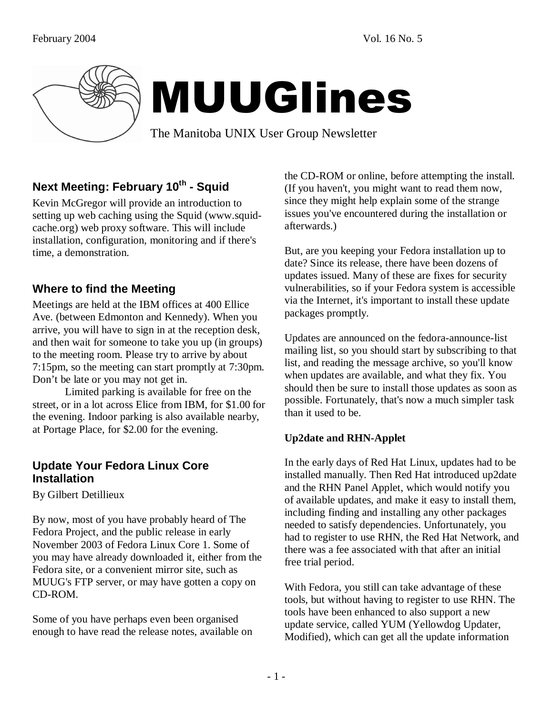

# MUUGlines

The Manitoba UNIX User Group Newsletter

# **Next Meeting: February 10th - Squid**

Kevin McGregor will provide an introduction to setting up web caching using the Squid (www.squidcache.org) web proxy software. This will include installation, configuration, monitoring and if there's time, a demonstration.

#### **Where to find the Meeting**

Meetings are held at the IBM offices at 400 Ellice Ave. (between Edmonton and Kennedy). When you arrive, you will have to sign in at the reception desk, and then wait for someone to take you up (in groups) to the meeting room. Please try to arrive by about 7:15pm, so the meeting can start promptly at 7:30pm. Don't be late or you may not get in.

 Limited parking is available for free on the street, or in a lot across Elice from IBM, for \$1.00 for the evening. Indoor parking is also available nearby, at Portage Place, for \$2.00 for the evening.

#### **Update Your Fedora Linux Core Installation**

By Gilbert Detillieux

By now, most of you have probably heard of The Fedora Project, and the public release in early November 2003 of Fedora Linux Core 1. Some of you may have already downloaded it, either from the Fedora site, or a convenient mirror site, such as MUUG's FTP server, or may have gotten a copy on CD-ROM.

Some of you have perhaps even been organised enough to have read the release notes, available on the CD-ROM or online, before attempting the install. (If you haven't, you might want to read them now, since they might help explain some of the strange issues you've encountered during the installation or afterwards.)

But, are you keeping your Fedora installation up to date? Since its release, there have been dozens of updates issued. Many of these are fixes for security vulnerabilities, so if your Fedora system is accessible via the Internet, it's important to install these update packages promptly.

Updates are announced on the fedora-announce-list mailing list, so you should start by subscribing to that list, and reading the message archive, so you'll know when updates are available, and what they fix. You should then be sure to install those updates as soon as possible. Fortunately, that's now a much simpler task than it used to be.

#### **Up2date and RHN-Applet**

In the early days of Red Hat Linux, updates had to be installed manually. Then Red Hat introduced up2date and the RHN Panel Applet, which would notify you of available updates, and make it easy to install them, including finding and installing any other packages needed to satisfy dependencies. Unfortunately, you had to register to use RHN, the Red Hat Network, and there was a fee associated with that after an initial free trial period.

With Fedora, you still can take advantage of these tools, but without having to register to use RHN. The tools have been enhanced to also support a new update service, called YUM (Yellowdog Updater, Modified), which can get all the update information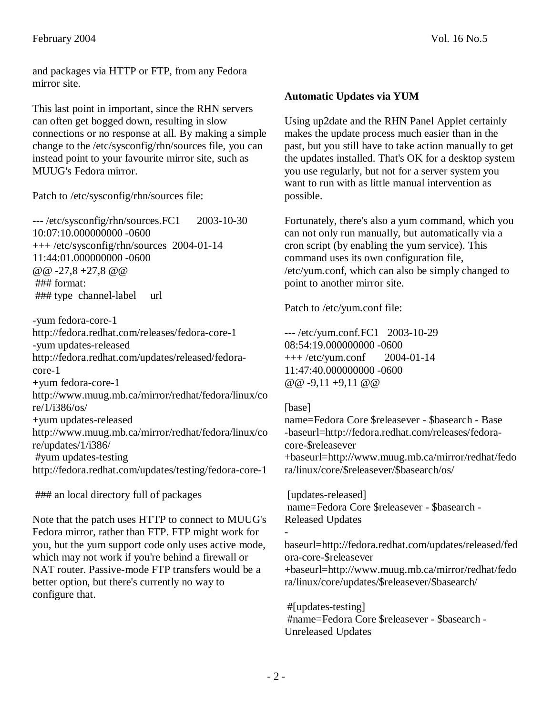and packages via HTTP or FTP, from any Fedora mirror site.

This last point in important, since the RHN servers can often get bogged down, resulting in slow connections or no response at all. By making a simple change to the /etc/sysconfig/rhn/sources file, you can instead point to your favourite mirror site, such as MUUG's Fedora mirror.

Patch to /etc/sysconfig/rhn/sources file:

--- /etc/sysconfig/rhn/sources.FC1 2003-10-30 10:07:10.000000000 -0600 +++ /etc/sysconfig/rhn/sources 2004-01-14 11:44:01.000000000 -0600  $@ @ -27, 8 +27, 8 @ @$  ### format: ### type channel-label url

-yum fedora-core-1 http://fedora.redhat.com/releases/fedora-core-1 -yum updates-released http://fedora.redhat.com/updates/released/fedoracore-1 +yum fedora-core-1 http://www.muug.mb.ca/mirror/redhat/fedora/linux/co re/1/i386/os/ +yum updates-released http://www.muug.mb.ca/mirror/redhat/fedora/linux/co re/updates/1/i386/ #yum updates-testing http://fedora.redhat.com/updates/testing/fedora-core-1

### an local directory full of packages

Note that the patch uses HTTP to connect to MUUG's Fedora mirror, rather than FTP. FTP might work for you, but the yum support code only uses active mode, which may not work if you're behind a firewall or NAT router. Passive-mode FTP transfers would be a better option, but there's currently no way to configure that.

#### **Automatic Updates via YUM**

Using up2date and the RHN Panel Applet certainly makes the update process much easier than in the past, but you still have to take action manually to get the updates installed. That's OK for a desktop system you use regularly, but not for a server system you want to run with as little manual intervention as possible.

Fortunately, there's also a yum command, which you can not only run manually, but automatically via a cron script (by enabling the yum service). This command uses its own configuration file, /etc/yum.conf, which can also be simply changed to point to another mirror site.

Patch to /etc/yum.conf file:

--- /etc/yum.conf.FC1 2003-10-29 08:54:19.000000000 -0600 +++ /etc/yum.conf 2004-01-14 11:47:40.000000000 -0600 @@ -9,11 +9,11 @@

#### [base]

-

name=Fedora Core \$releasever - \$basearch - Base -baseurl=http://fedora.redhat.com/releases/fedoracore-\$releasever +baseurl=http://www.muug.mb.ca/mirror/redhat/fedo ra/linux/core/\$releasever/\$basearch/os/

[updates-released] name=Fedora Core \$releasever - \$basearch - Released Updates

baseurl=http://fedora.redhat.com/updates/released/fed ora-core-\$releasever +baseurl=http://www.muug.mb.ca/mirror/redhat/fedo ra/linux/core/updates/\$releasever/\$basearch/

 #[updates-testing] #name=Fedora Core \$releasever - \$basearch - Unreleased Updates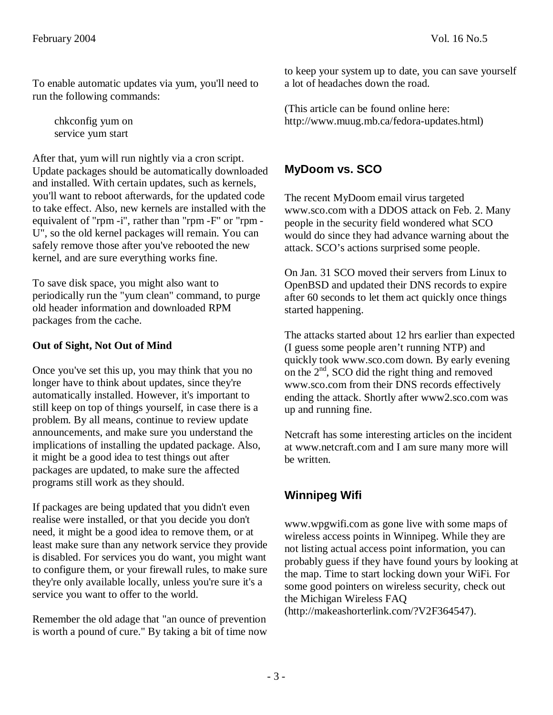To enable automatic updates via yum, you'll need to run the following commands:

 chkconfig yum on service yum start

After that, yum will run nightly via a cron script. Update packages should be automatically downloaded and installed. With certain updates, such as kernels, you'll want to reboot afterwards, for the updated code to take effect. Also, new kernels are installed with the equivalent of "rpm -i", rather than "rpm -F" or "rpm - U", so the old kernel packages will remain. You can safely remove those after you've rebooted the new kernel, and are sure everything works fine.

To save disk space, you might also want to periodically run the "yum clean" command, to purge old header information and downloaded RPM packages from the cache.

#### **Out of Sight, Not Out of Mind**

Once you've set this up, you may think that you no longer have to think about updates, since they're automatically installed. However, it's important to still keep on top of things yourself, in case there is a problem. By all means, continue to review update announcements, and make sure you understand the implications of installing the updated package. Also, it might be a good idea to test things out after packages are updated, to make sure the affected programs still work as they should.

If packages are being updated that you didn't even realise were installed, or that you decide you don't need, it might be a good idea to remove them, or at least make sure than any network service they provide is disabled. For services you do want, you might want to configure them, or your firewall rules, to make sure they're only available locally, unless you're sure it's a service you want to offer to the world.

Remember the old adage that "an ounce of prevention is worth a pound of cure." By taking a bit of time now to keep your system up to date, you can save yourself a lot of headaches down the road.

(This article can be found online here: http://www.muug.mb.ca/fedora-updates.html)

## **MyDoom vs. SCO**

The recent MyDoom email virus targeted www.sco.com with a DDOS attack on Feb. 2. Many people in the security field wondered what SCO would do since they had advance warning about the attack. SCO's actions surprised some people.

On Jan. 31 SCO moved their servers from Linux to OpenBSD and updated their DNS records to expire after 60 seconds to let them act quickly once things started happening.

The attacks started about 12 hrs earlier than expected (I guess some people aren't running NTP) and quickly took www.sco.com down. By early evening on the  $2<sup>nd</sup>$ , SCO did the right thing and removed www.sco.com from their DNS records effectively ending the attack. Shortly after www2.sco.com was up and running fine.

Netcraft has some interesting articles on the incident at www.netcraft.com and I am sure many more will be written.

# **Winnipeg Wifi**

www.wpgwifi.com as gone live with some maps of wireless access points in Winnipeg. While they are not listing actual access point information, you can probably guess if they have found yours by looking at the map. Time to start locking down your WiFi. For some good pointers on wireless security, check out the Michigan Wireless FAQ (http://makeashorterlink.com/?V2F364547).